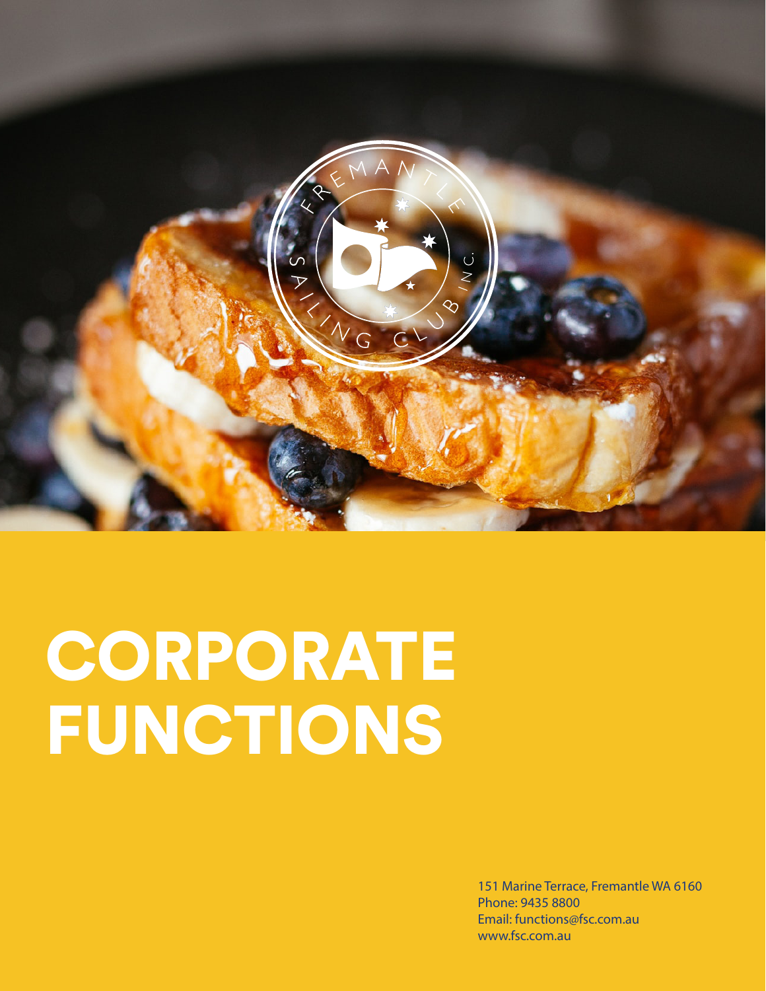

# **CORPORATE** FUNCTIONS

151 Marine Terrace, Fremantle WA 6160 Phone: 9435 8800 Email: functions@fsc.com.au www.fsc.com.au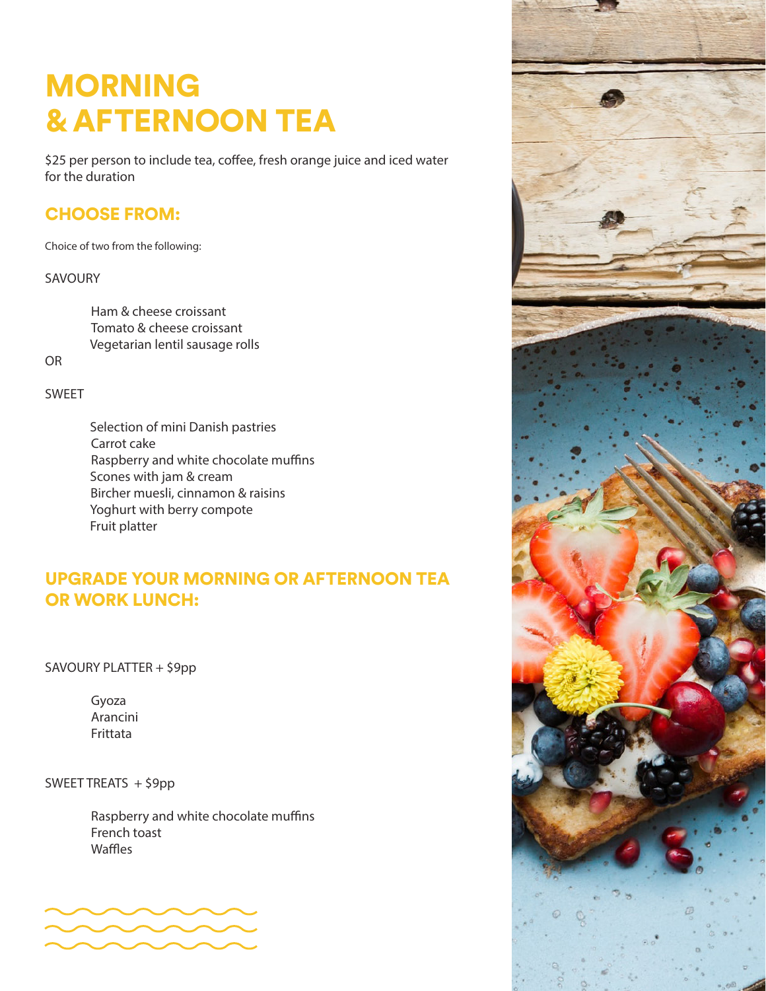# MORNING & AFTERNOON TEA

\$25 per person to include tea, coffee, fresh orange juice and iced water for the duration

### CHOOSE FROM:

Choice of two from the following:

#### SAVOURY

Ham & cheese croissant Tomato & cheese croissant Vegetarian lentil sausage rolls

OR

#### SWEET

Selection of mini Danish pastries Carrot cake Raspberry and white chocolate muffins Scones with jam & cream Bircher muesli, cinnamon & raisins Yoghurt with berry compote Fruit platter

### UPGRADE YOUR MORNING OR AFTERNOON TEA OR WORK LUNCH:

SAVOURY PLATTER + \$9pp

Gyoza Arancini Frittata

SWEET TREATS + \$9pp

Raspberry and white chocolate muffins French toast Waffles



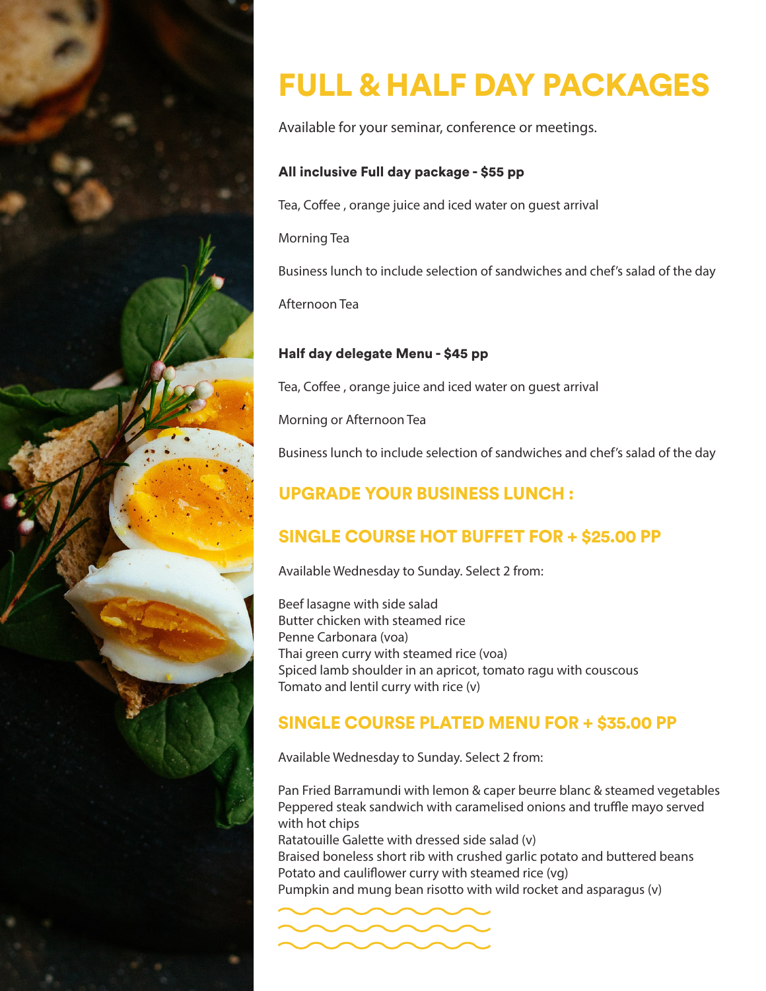

# FULL & HALF DAY PACKAGES

Available for your seminar, conference or meetings.

### All inclusive Full day package - \$55 pp

Tea, Coffee , orange juice and iced water on guest arrival

Morning Tea

Business lunch to include selection of sandwiches and chef's salad of the day

Afternoon Tea

### Half day delegate Menu - \$45 pp

Tea, Coffee , orange juice and iced water on guest arrival

Morning or Afternoon Tea

Business lunch to include selection of sandwiches and chef's salad of the day

# UPGRADE YOUR BUSINESS LUNCH :

## SINGLE COURSE HOT BUFFET FOR + \$25.00 PP

Available Wednesday to Sunday. Select 2 from:

Beef lasagne with side salad Butter chicken with steamed rice Penne Carbonara (voa) Thai green curry with steamed rice (voa) Spiced lamb shoulder in an apricot, tomato ragu with couscous Tomato and lentil curry with rice (v)

### SINGLE COURSE PLATED MENU FOR + \$35.00 PP

Available Wednesday to Sunday. Select 2 from:

Pan Fried Barramundi with lemon & caper beurre blanc & steamed vegetables Peppered steak sandwich with caramelised onions and truffle mayo served with hot chips

Ratatouille Galette with dressed side salad (v) Braised boneless short rib with crushed garlic potato and buttered beans Potato and cauliflower curry with steamed rice (vg) Pumpkin and mung bean risotto with wild rocket and asparagus (v)